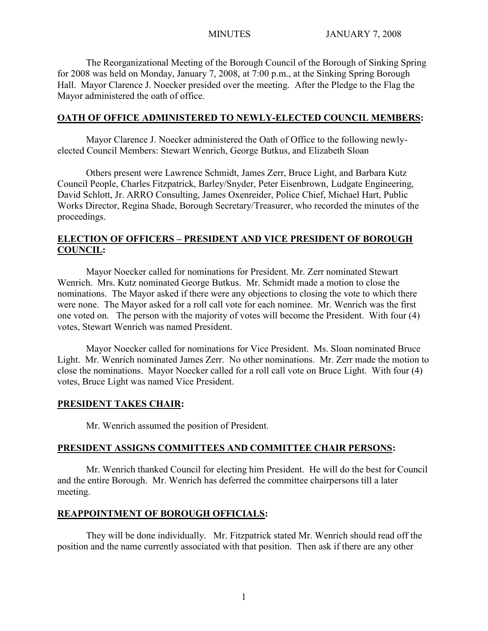The Reorganizational Meeting of the Borough Council of the Borough of Sinking Spring for 2008 was held on Monday, January 7, 2008, at 7:00 p.m., at the Sinking Spring Borough Hall. Mayor Clarence J. Noecker presided over the meeting. After the Pledge to the Flag the Mayor administered the oath of office.

## **OATH OF OFFICE ADMINISTERED TO NEWLY-ELECTED COUNCIL MEMBERS:**

Mayor Clarence J. Noecker administered the Oath of Office to the following newlyelected Council Members: Stewart Wenrich, George Butkus, and Elizabeth Sloan

Others present were Lawrence Schmidt, James Zerr, Bruce Light, and Barbara Kutz Council People, Charles Fitzpatrick, Barley/Snyder, Peter Eisenbrown, Ludgate Engineering, David Schlott, Jr. ARRO Consulting, James Oxenreider, Police Chief, Michael Hart, Public Works Director, Regina Shade, Borough Secretary/Treasurer, who recorded the minutes of the proceedings.

# **ELECTION OF OFFICERS – PRESIDENT AND VICE PRESIDENT OF BOROUGH COUNCIL:**

Mayor Noecker called for nominations for President. Mr. Zerr nominated Stewart Wenrich. Mrs. Kutz nominated George Butkus. Mr. Schmidt made a motion to close the nominations. The Mayor asked if there were any objections to closing the vote to which there were none. The Mayor asked for a roll call vote for each nominee. Mr. Wenrich was the first one voted on. The person with the majority of votes will become the President. With four (4) votes, Stewart Wenrich was named President.

Mayor Noecker called for nominations for Vice President. Ms. Sloan nominated Bruce Light. Mr. Wenrich nominated James Zerr. No other nominations. Mr. Zerr made the motion to close the nominations. Mayor Noecker called for a roll call vote on Bruce Light. With four (4) votes, Bruce Light was named Vice President.

## **PRESIDENT TAKES CHAIR:**

Mr. Wenrich assumed the position of President.

## **PRESIDENT ASSIGNS COMMITTEES AND COMMITTEE CHAIR PERSONS:**

Mr. Wenrich thanked Council for electing him President. He will do the best for Council and the entire Borough. Mr. Wenrich has deferred the committee chairpersons till a later meeting.

# **REAPPOINTMENT OF BOROUGH OFFICIALS:**

They will be done individually. Mr. Fitzpatrick stated Mr. Wenrich should read off the position and the name currently associated with that position. Then ask if there are any other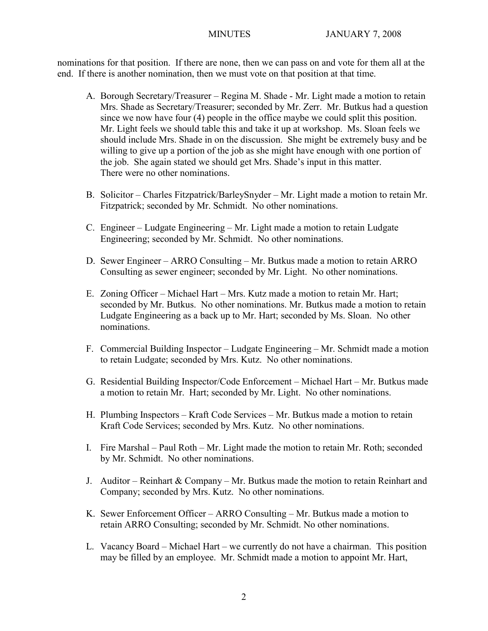nominations for that position. If there are none, then we can pass on and vote for them all at the end. If there is another nomination, then we must vote on that position at that time.

- A. Borough Secretary/Treasurer Regina M. Shade Mr. Light made a motion to retain Mrs. Shade as Secretary/Treasurer; seconded by Mr. Zerr. Mr. Butkus had a question since we now have four (4) people in the office maybe we could split this position. Mr. Light feels we should table this and take it up at workshop. Ms. Sloan feels we should include Mrs. Shade in on the discussion. She might be extremely busy and be willing to give up a portion of the job as she might have enough with one portion of the job. She again stated we should get Mrs. Shade's input in this matter. There were no other nominations.
- B. Solicitor Charles Fitzpatrick/BarleySnyder Mr. Light made a motion to retain Mr. Fitzpatrick; seconded by Mr. Schmidt. No other nominations.
- C. Engineer Ludgate Engineering Mr. Light made a motion to retain Ludgate Engineering; seconded by Mr. Schmidt. No other nominations.
- D. Sewer Engineer ARRO Consulting Mr. Butkus made a motion to retain ARRO Consulting as sewer engineer; seconded by Mr. Light. No other nominations.
- E. Zoning Officer Michael Hart Mrs. Kutz made a motion to retain Mr. Hart; seconded by Mr. Butkus. No other nominations. Mr. Butkus made a motion to retain Ludgate Engineering as a back up to Mr. Hart; seconded by Ms. Sloan. No other nominations.
- F. Commercial Building Inspector Ludgate Engineering Mr. Schmidt made a motion to retain Ludgate; seconded by Mrs. Kutz. No other nominations.
- G. Residential Building Inspector/Code Enforcement Michael Hart Mr. Butkus made a motion to retain Mr. Hart; seconded by Mr. Light. No other nominations.
- H. Plumbing Inspectors Kraft Code Services Mr. Butkus made a motion to retain Kraft Code Services; seconded by Mrs. Kutz. No other nominations.
- I. Fire Marshal Paul Roth Mr. Light made the motion to retain Mr. Roth; seconded by Mr. Schmidt. No other nominations.
- J. Auditor Reinhart & Company Mr. Butkus made the motion to retain Reinhart and Company; seconded by Mrs. Kutz. No other nominations.
- K. Sewer Enforcement Officer ARRO Consulting Mr. Butkus made a motion to retain ARRO Consulting; seconded by Mr. Schmidt. No other nominations.
- L. Vacancy Board Michael Hart we currently do not have a chairman. This position may be filled by an employee. Mr. Schmidt made a motion to appoint Mr. Hart,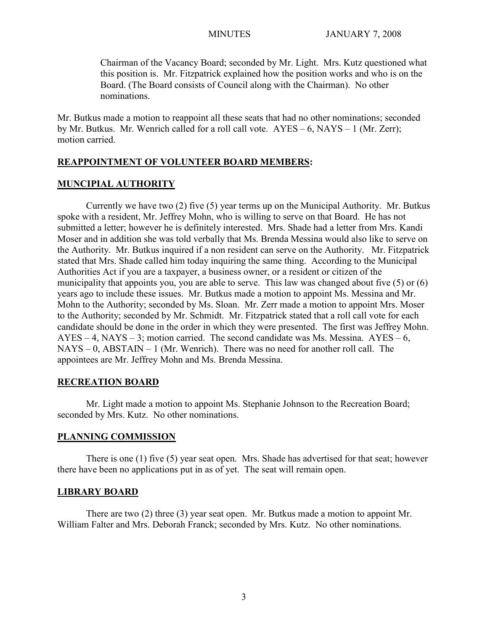Chairman of the Vacancy Board; seconded by Mr. Light. Mrs. Kutz questioned what this position is. Mr. Fitzpatrick explained how the position works and who is on the Board. (The Board consists of Council along with the Chairman). No other nominations.

Mr. Butkus made a motion to reappoint all these seats that had no other nominations; seconded by Mr. Butkus. Mr. Wenrich called for a roll call vote. AYES – 6, NAYS – 1 (Mr. Zerr); motion carried.

### **REAPPOINTMENT OF VOLUNTEER BOARD MEMBERS:**

## **MUNCIPIAL AUTHORITY**

Currently we have two (2) five (5) year terms up on the Municipal Authority. Mr. Butkus spoke with a resident, Mr. Jeffrey Mohn, who is willing to serve on that Board. He has not submitted a letter; however he is definitely interested. Mrs. Shade had a letter from Mrs. Kandi Moser and in addition she was told verbally that Ms. Brenda Messina would also like to serve on the Authority. Mr. Butkus inquired if a non resident can serve on the Authority. Mr. Fitzpatrick stated that Mrs. Shade called him today inquiring the same thing. According to the Municipal Authorities Act if you are a taxpayer, a business owner, or a resident or citizen of the municipality that appoints you, you are able to serve. This law was changed about five (5) or (6) years ago to include these issues. Mr. Butkus made a motion to appoint Ms. Messina and Mr. Mohn to the Authority; seconded by Ms. Sloan. Mr. Zerr made a motion to appoint Mrs. Moser to the Authority; seconded by Mr. Schmidt. Mr. Fitzpatrick stated that a roll call vote for each candidate should be done in the order in which they were presented. The first was Jeffrey Mohn.  $AYES - 4$ ,  $NAYS - 3$ ; motion carried. The second candidate was Ms. Messina.  $AYES - 6$ , NAYS – 0, ABSTAIN – 1 (Mr. Wenrich). There was no need for another roll call. The appointees are Mr. Jeffrey Mohn and Ms. Brenda Messina.

# **RECREATION BOARD**

Mr. Light made a motion to appoint Ms. Stephanie Johnson to the Recreation Board; seconded by Mrs. Kutz. No other nominations.

### **PLANNING COMMISSION**

There is one (1) five (5) year seat open. Mrs. Shade has advertised for that seat; however there have been no applications put in as of yet. The seat will remain open.

### **LIBRARY BOARD**

There are two (2) three (3) year seat open. Mr. Butkus made a motion to appoint Mr. William Falter and Mrs. Deborah Franck; seconded by Mrs. Kutz. No other nominations.